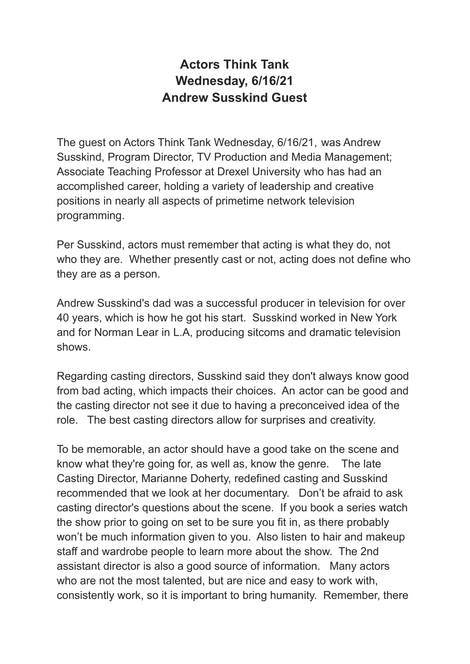## **Actors Think Tank Wednesday, 6/16/21 Andrew Susskind Guest**

The guest on Actors Think Tank Wednesday, 6/16/21, was Andrew Susskind, Program Director, TV Production and Media Management; Associate Teaching Professor at Drexel University who has had an accomplished career, holding a variety of leadership and creative positions in nearly all aspects of primetime network television programming.

Per Susskind, actors must remember that acting is what they do, not who they are. Whether presently cast or not, acting does not define who they are as a person.

Andrew Susskind's dad was a successful producer in television for over 40 years, which is how he got his start. Susskind worked in New York and for Norman Lear in L.A, producing sitcoms and dramatic television shows.

Regarding casting directors, Susskind said they don't always know good from bad acting, which impacts their choices. An actor can be good and the casting director not see it due to having a preconceived idea of the role. The best casting directors allow for surprises and creativity.

To be memorable, an actor should have a good take on the scene and know what they're going for, as well as, know the genre. The late Casting Director, Marianne Doherty, redefined casting and Susskind recommended that we look at her documentary. Don't be afraid to ask casting director's questions about the scene. If you book a series watch the show prior to going on set to be sure you fit in, as there probably won't be much information given to you. Also listen to hair and makeup staff and wardrobe people to learn more about the show. The 2nd assistant director is also a good source of information. Many actors who are not the most talented, but are nice and easy to work with, consistently work, so it is important to bring humanity. Remember, there